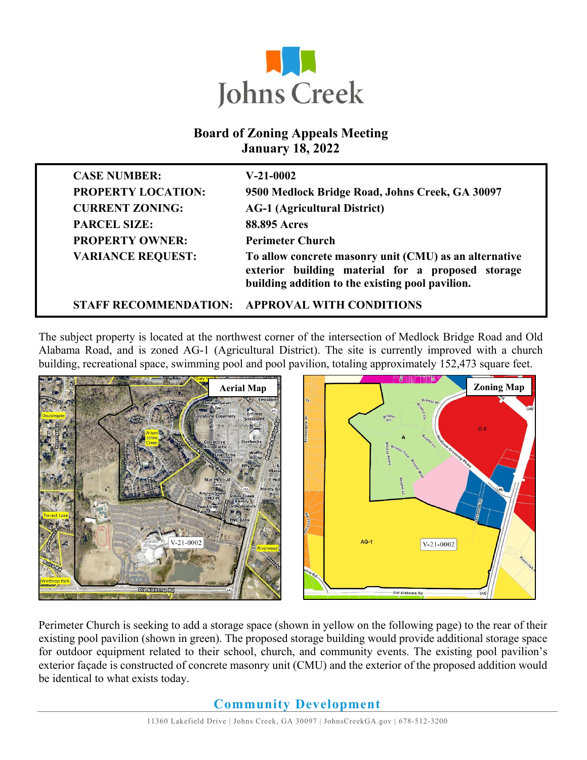

#### **Board of Zoning Appeals Meeting January 18, 2022**

| <b>CASE NUMBER:</b>          | $V-21-0002$                                                                                                                                                     |
|------------------------------|-----------------------------------------------------------------------------------------------------------------------------------------------------------------|
| <b>PROPERTY LOCATION:</b>    | 9500 Medlock Bridge Road, Johns Creek, GA 30097                                                                                                                 |
| <b>CURRENT ZONING:</b>       | <b>AG-1 (Agricultural District)</b>                                                                                                                             |
| <b>PARCEL SIZE:</b>          | <b>88.895 Acres</b>                                                                                                                                             |
| <b>PROPERTY OWNER:</b>       | <b>Perimeter Church</b>                                                                                                                                         |
| <b>VARIANCE REQUEST:</b>     | To allow concrete masonry unit (CMU) as an alternative<br>exterior building material for a proposed storage<br>building addition to the existing pool pavilion. |
| <b>STAFF RECOMMENDATION:</b> | <b>APPROVAL WITH CONDITIONS</b>                                                                                                                                 |

The subject property is located at the northwest corner of the intersection of Medlock Bridge Road and Old Alabama Road, and is zoned AG-1 (Agricultural District). The site is currently improved with a church building, recreational space, swimming pool and pool pavilion, totaling approximately 152,473 square feet.





Perimeter Church is seeking to add a storage space (shown in yellow on the following page) to the rear of their existing pool pavilion (shown in green). The proposed storage building would provide additional storage space for outdoor equipment related to their school, church, and community events. The existing pool pavilion's exterior façade is constructed of concrete masonry unit (CMU) and the exterior of the proposed addition would be identical to what exists today.

### **Community Development**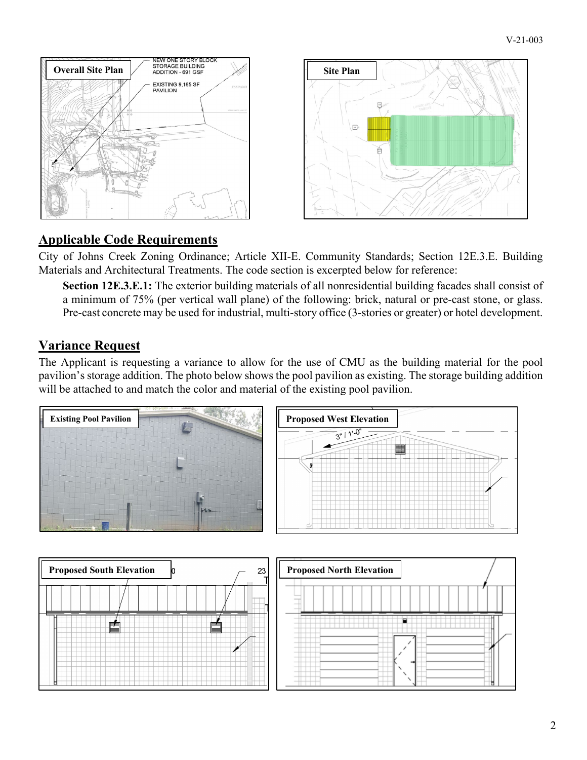

## **Applicable Code Requirements**

City of Johns Creek Zoning Ordinance; Article XII-E. Community Standards; Section 12E.3.E. Building Materials and Architectural Treatments. The code section is excerpted below for reference:

**Section 12E.3.E.1:** The exterior building materials of all nonresidential building facades shall consist of a minimum of 75% (per vertical wall plane) of the following: brick, natural or pre-cast stone, or glass. Pre-cast concrete may be used for industrial, multi-story office (3-stories or greater) or hotel development.

### **Variance Request**

The Applicant is requesting a variance to allow for the use of CMU as the building material for the pool pavilion's storage addition. The photo below shows the pool pavilion as existing. The storage building addition will be attached to and match the color and material of the existing pool pavilion.